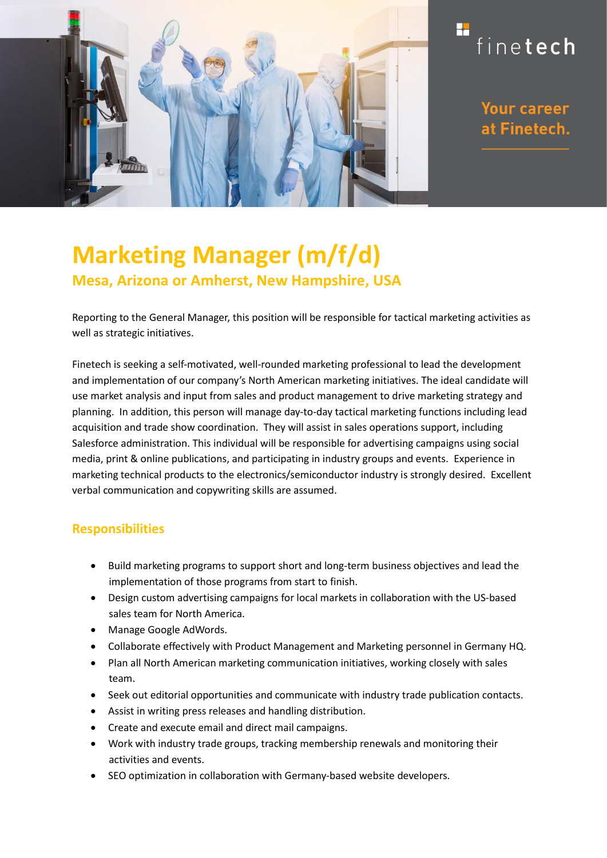

## H finetech

**Your career** at Finetech.

# **Marketing Manager (m/f/d) Mesa, Arizona or Amherst, New Hampshire, USA**

Reporting to the General Manager, this position will be responsible for tactical marketing activities as well as strategic initiatives.

Finetech is seeking a self-motivated, well-rounded marketing professional to lead the development and implementation of our company's North American marketing initiatives. The ideal candidate will use market analysis and input from sales and product management to drive marketing strategy and planning. In addition, this person will manage day‐to‐day tactical marketing functions including lead acquisition and trade show coordination. They will assist in sales operations support, including Salesforce administration. This individual will be responsible for advertising campaigns using social media, print & online publications, and participating in industry groups and events. Experience in marketing technical products to the electronics/semiconductor industry is strongly desired. Excellent verbal communication and copywriting skills are assumed.

### **Responsibilities**

- Build marketing programs to support short and long‐term business objectives and lead the implementation of those programs from start to finish.
- Design custom advertising campaigns for local markets in collaboration with the US‐based sales team for North America.
- Manage Google AdWords.
- Collaborate effectively with Product Management and Marketing personnel in Germany HQ.
- Plan all North American marketing communication initiatives, working closely with sales team.
- Seek out editorial opportunities and communicate with industry trade publication contacts.
- Assist in writing press releases and handling distribution.
- Create and execute email and direct mail campaigns.
- Work with industry trade groups, tracking membership renewals and monitoring their activities and events.
- SEO optimization in collaboration with Germany‐based website developers.